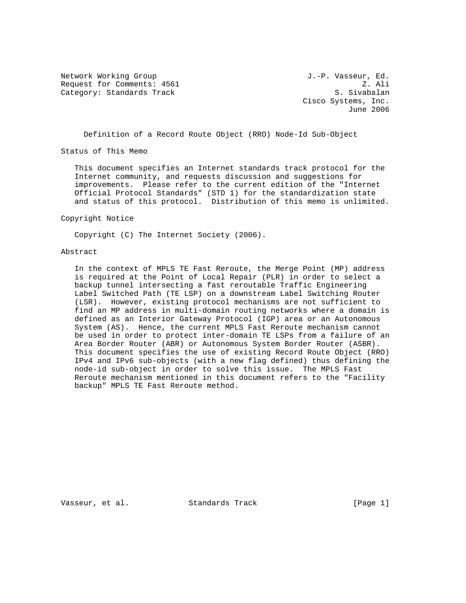Network Working Group and Month Communications of the U.-P. Vasseur, Ed. Request for Comments: 4561 Z. Ali Category: Standards Track S. Sivabalan

 Cisco Systems, Inc. June 2006

Definition of a Record Route Object (RRO) Node-Id Sub-Object

Status of This Memo

 This document specifies an Internet standards track protocol for the Internet community, and requests discussion and suggestions for improvements. Please refer to the current edition of the "Internet Official Protocol Standards" (STD 1) for the standardization state and status of this protocol. Distribution of this memo is unlimited.

Copyright Notice

Copyright (C) The Internet Society (2006).

## Abstract

 In the context of MPLS TE Fast Reroute, the Merge Point (MP) address is required at the Point of Local Repair (PLR) in order to select a backup tunnel intersecting a fast reroutable Traffic Engineering Label Switched Path (TE LSP) on a downstream Label Switching Router (LSR). However, existing protocol mechanisms are not sufficient to find an MP address in multi-domain routing networks where a domain is defined as an Interior Gateway Protocol (IGP) area or an Autonomous System (AS). Hence, the current MPLS Fast Reroute mechanism cannot be used in order to protect inter-domain TE LSPs from a failure of an Area Border Router (ABR) or Autonomous System Border Router (ASBR). This document specifies the use of existing Record Route Object (RRO) IPv4 and IPv6 sub-objects (with a new flag defined) thus defining the node-id sub-object in order to solve this issue. The MPLS Fast Reroute mechanism mentioned in this document refers to the "Facility backup" MPLS TE Fast Reroute method.

Vasseur, et al. Standards Track [Page 1]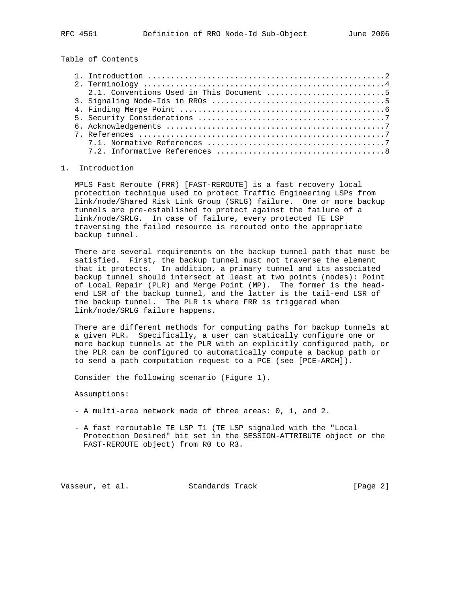Table of Contents

|  | 2.1. Conventions Used in This Document 5 |
|--|------------------------------------------|
|  |                                          |
|  |                                          |
|  |                                          |
|  |                                          |
|  |                                          |
|  |                                          |
|  |                                          |

## 1. Introduction

 MPLS Fast Reroute (FRR) [FAST-REROUTE] is a fast recovery local protection technique used to protect Traffic Engineering LSPs from link/node/Shared Risk Link Group (SRLG) failure. One or more backup tunnels are pre-established to protect against the failure of a link/node/SRLG. In case of failure, every protected TE LSP traversing the failed resource is rerouted onto the appropriate backup tunnel.

 There are several requirements on the backup tunnel path that must be satisfied. First, the backup tunnel must not traverse the element that it protects. In addition, a primary tunnel and its associated backup tunnel should intersect at least at two points (nodes): Point of Local Repair (PLR) and Merge Point (MP). The former is the head end LSR of the backup tunnel, and the latter is the tail-end LSR of the backup tunnel. The PLR is where FRR is triggered when link/node/SRLG failure happens.

 There are different methods for computing paths for backup tunnels at a given PLR. Specifically, a user can statically configure one or more backup tunnels at the PLR with an explicitly configured path, or the PLR can be configured to automatically compute a backup path or to send a path computation request to a PCE (see [PCE-ARCH]).

Consider the following scenario (Figure 1).

Assumptions:

- A multi-area network made of three areas: 0, 1, and 2.
- A fast reroutable TE LSP T1 (TE LSP signaled with the "Local Protection Desired" bit set in the SESSION-ATTRIBUTE object or the FAST-REROUTE object) from R0 to R3.

Vasseur, et al. Standards Track [Page 2]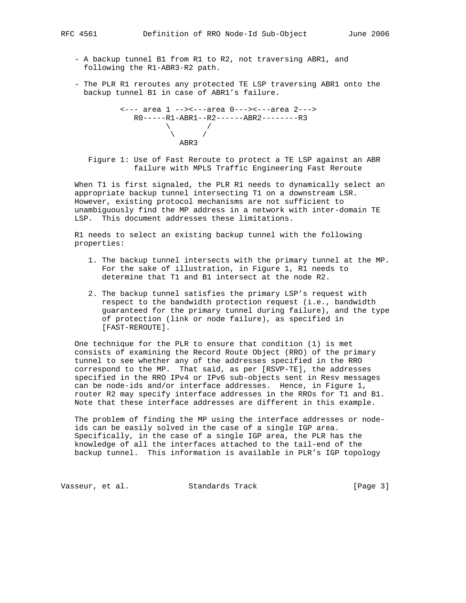- - A backup tunnel B1 from R1 to R2, not traversing ABR1, and following the R1-ABR3-R2 path.
	- The PLR R1 reroutes any protected TE LSP traversing ABR1 onto the backup tunnel B1 in case of ABR1's failure.

```
 <--- area 1 --><---area 0---><---area 2--->
                                         R0-----R1-ABR1--R2------ABR2--------R3
                                                          \ /
\sqrt{2} / \sqrt{2} / \sqrt{2} / \sqrt{2} / \sqrt{2} / \sqrt{2} / \sqrt{2} / \sqrt{2} / \sqrt{2} / \sqrt{2} / \sqrt{2} / \sqrt{2} / \sqrt{2} / \sqrt{2} / \sqrt{2} / \sqrt{2} / \sqrt{2} / \sqrt{2} / \sqrt{2} / \sqrt{2} / \sqrt{2} / \sqrt{2} /  ABR3
```
 Figure 1: Use of Fast Reroute to protect a TE LSP against an ABR failure with MPLS Traffic Engineering Fast Reroute

 When T1 is first signaled, the PLR R1 needs to dynamically select an appropriate backup tunnel intersecting T1 on a downstream LSR. However, existing protocol mechanisms are not sufficient to unambiguously find the MP address in a network with inter-domain TE LSP. This document addresses these limitations.

 R1 needs to select an existing backup tunnel with the following properties:

- 1. The backup tunnel intersects with the primary tunnel at the MP. For the sake of illustration, in Figure 1, R1 needs to determine that T1 and B1 intersect at the node R2.
- 2. The backup tunnel satisfies the primary LSP's request with respect to the bandwidth protection request (i.e., bandwidth guaranteed for the primary tunnel during failure), and the type of protection (link or node failure), as specified in [FAST-REROUTE].

 One technique for the PLR to ensure that condition (1) is met consists of examining the Record Route Object (RRO) of the primary tunnel to see whether any of the addresses specified in the RRO correspond to the MP. That said, as per [RSVP-TE], the addresses specified in the RRO IPv4 or IPv6 sub-objects sent in Resv messages can be node-ids and/or interface addresses. Hence, in Figure 1, router R2 may specify interface addresses in the RROs for T1 and B1. Note that these interface addresses are different in this example.

 The problem of finding the MP using the interface addresses or node ids can be easily solved in the case of a single IGP area. Specifically, in the case of a single IGP area, the PLR has the knowledge of all the interfaces attached to the tail-end of the backup tunnel. This information is available in PLR's IGP topology

Vasseur, et al. Standards Track (Page 3)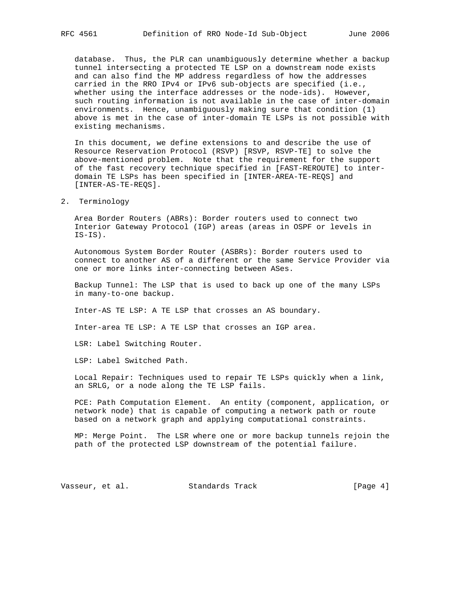database. Thus, the PLR can unambiguously determine whether a backup tunnel intersecting a protected TE LSP on a downstream node exists and can also find the MP address regardless of how the addresses carried in the RRO IPv4 or IPv6 sub-objects are specified (i.e., whether using the interface addresses or the node-ids). However, such routing information is not available in the case of inter-domain environments. Hence, unambiguously making sure that condition (1) above is met in the case of inter-domain TE LSPs is not possible with existing mechanisms.

 In this document, we define extensions to and describe the use of Resource Reservation Protocol (RSVP) [RSVP, RSVP-TE] to solve the above-mentioned problem. Note that the requirement for the support of the fast recovery technique specified in [FAST-REROUTE] to inter domain TE LSPs has been specified in [INTER-AREA-TE-REQS] and [INTER-AS-TE-REQS].

2. Terminology

 Area Border Routers (ABRs): Border routers used to connect two Interior Gateway Protocol (IGP) areas (areas in OSPF or levels in IS-IS).

 Autonomous System Border Router (ASBRs): Border routers used to connect to another AS of a different or the same Service Provider via one or more links inter-connecting between ASes.

 Backup Tunnel: The LSP that is used to back up one of the many LSPs in many-to-one backup.

Inter-AS TE LSP: A TE LSP that crosses an AS boundary.

Inter-area TE LSP: A TE LSP that crosses an IGP area.

LSR: Label Switching Router.

LSP: Label Switched Path.

 Local Repair: Techniques used to repair TE LSPs quickly when a link, an SRLG, or a node along the TE LSP fails.

 PCE: Path Computation Element. An entity (component, application, or network node) that is capable of computing a network path or route based on a network graph and applying computational constraints.

 MP: Merge Point. The LSR where one or more backup tunnels rejoin the path of the protected LSP downstream of the potential failure.

Vasseur, et al. Standards Track [Page 4]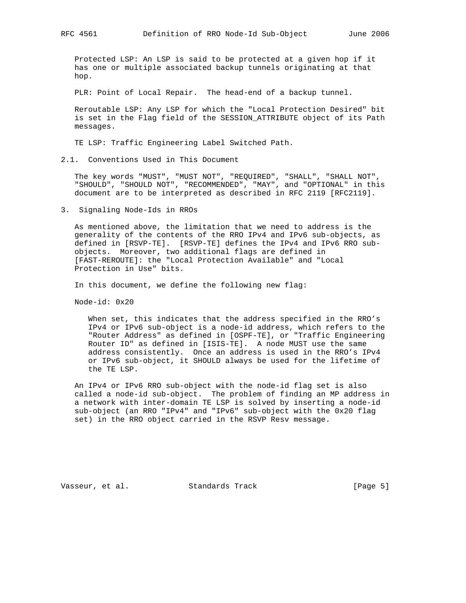Protected LSP: An LSP is said to be protected at a given hop if it has one or multiple associated backup tunnels originating at that hop.

PLR: Point of Local Repair. The head-end of a backup tunnel.

 Reroutable LSP: Any LSP for which the "Local Protection Desired" bit is set in the Flag field of the SESSION\_ATTRIBUTE object of its Path messages.

TE LSP: Traffic Engineering Label Switched Path.

2.1. Conventions Used in This Document

 The key words "MUST", "MUST NOT", "REQUIRED", "SHALL", "SHALL NOT", "SHOULD", "SHOULD NOT", "RECOMMENDED", "MAY", and "OPTIONAL" in this document are to be interpreted as described in RFC 2119 [RFC2119].

3. Signaling Node-Ids in RROs

 As mentioned above, the limitation that we need to address is the generality of the contents of the RRO IPv4 and IPv6 sub-objects, as defined in [RSVP-TE]. [RSVP-TE] defines the IPv4 and IPv6 RRO sub objects. Moreover, two additional flags are defined in [FAST-REROUTE]: the "Local Protection Available" and "Local Protection in Use" bits.

In this document, we define the following new flag:

Node-id: 0x20

 When set, this indicates that the address specified in the RRO's IPv4 or IPv6 sub-object is a node-id address, which refers to the "Router Address" as defined in [OSPF-TE], or "Traffic Engineering Router ID" as defined in [ISIS-TE]. A node MUST use the same address consistently. Once an address is used in the RRO's IPv4 or IPv6 sub-object, it SHOULD always be used for the lifetime of the TE LSP.

 An IPv4 or IPv6 RRO sub-object with the node-id flag set is also called a node-id sub-object. The problem of finding an MP address in a network with inter-domain TE LSP is solved by inserting a node-id sub-object (an RRO "IPv4" and "IPv6" sub-object with the 0x20 flag set) in the RRO object carried in the RSVP Resv message.

Vasseur, et al. Standards Track [Page 5]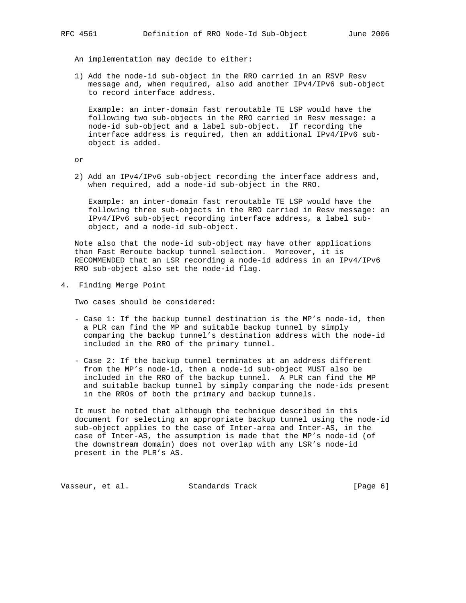An implementation may decide to either:

 1) Add the node-id sub-object in the RRO carried in an RSVP Resv message and, when required, also add another IPv4/IPv6 sub-object to record interface address.

 Example: an inter-domain fast reroutable TE LSP would have the following two sub-objects in the RRO carried in Resv message: a node-id sub-object and a label sub-object. If recording the interface address is required, then an additional IPv4/IPv6 sub object is added.

or

 2) Add an IPv4/IPv6 sub-object recording the interface address and, when required, add a node-id sub-object in the RRO.

 Example: an inter-domain fast reroutable TE LSP would have the following three sub-objects in the RRO carried in Resv message: an IPv4/IPv6 sub-object recording interface address, a label sub object, and a node-id sub-object.

 Note also that the node-id sub-object may have other applications than Fast Reroute backup tunnel selection. Moreover, it is RECOMMENDED that an LSR recording a node-id address in an IPv4/IPv6 RRO sub-object also set the node-id flag.

4. Finding Merge Point

Two cases should be considered:

- Case 1: If the backup tunnel destination is the MP's node-id, then a PLR can find the MP and suitable backup tunnel by simply comparing the backup tunnel's destination address with the node-id included in the RRO of the primary tunnel.
- Case 2: If the backup tunnel terminates at an address different from the MP's node-id, then a node-id sub-object MUST also be included in the RRO of the backup tunnel. A PLR can find the MP and suitable backup tunnel by simply comparing the node-ids present in the RROs of both the primary and backup tunnels.

 It must be noted that although the technique described in this document for selecting an appropriate backup tunnel using the node-id sub-object applies to the case of Inter-area and Inter-AS, in the case of Inter-AS, the assumption is made that the MP's node-id (of the downstream domain) does not overlap with any LSR's node-id present in the PLR's AS.

Vasseur, et al. Standards Track [Page 6]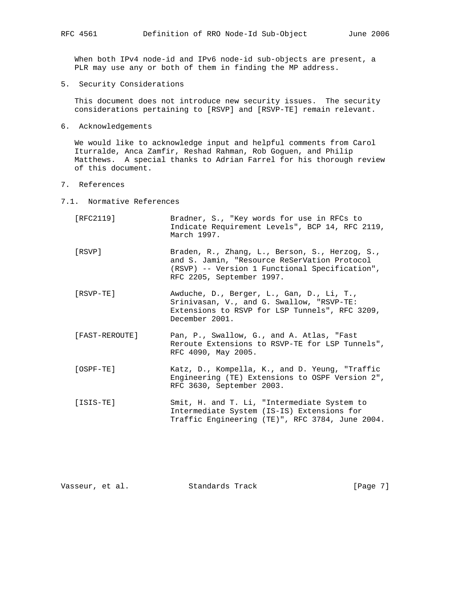When both IPv4 node-id and IPv6 node-id sub-objects are present, a PLR may use any or both of them in finding the MP address.

5. Security Considerations

 This document does not introduce new security issues. The security considerations pertaining to [RSVP] and [RSVP-TE] remain relevant.

6. Acknowledgements

 We would like to acknowledge input and helpful comments from Carol Iturralde, Anca Zamfir, Reshad Rahman, Rob Goguen, and Philip Matthews. A special thanks to Adrian Farrel for his thorough review of this document.

- 7. References
- 7.1. Normative References
	- [RFC2119] Bradner, S., "Key words for use in RFCs to Indicate Requirement Levels", BCP 14, RFC 2119, March 1997.
	- [RSVP] Braden, R., Zhang, L., Berson, S., Herzog, S., and S. Jamin, "Resource ReSerVation Protocol (RSVP) -- Version 1 Functional Specification", RFC 2205, September 1997.
	- [RSVP-TE] Awduche, D., Berger, L., Gan, D., Li, T., Srinivasan, V., and G. Swallow, "RSVP-TE: Extensions to RSVP for LSP Tunnels", RFC 3209, December 2001.
	- [FAST-REROUTE] Pan, P., Swallow, G., and A. Atlas, "Fast Reroute Extensions to RSVP-TE for LSP Tunnels", RFC 4090, May 2005.
	- [OSPF-TE] Katz, D., Kompella, K., and D. Yeung, "Traffic Engineering (TE) Extensions to OSPF Version 2", RFC 3630, September 2003.
	- [ISIS-TE] Smit, H. and T. Li, "Intermediate System to Intermediate System (IS-IS) Extensions for Traffic Engineering (TE)", RFC 3784, June 2004.

| [Page 7]<br>Vasseur, et al.<br>Standards Track |  |  |  |  |  |  |  |  |  |  |  |  |  |  |  |  |  |  |  |  |  |  |  |  |  |  |  |  |  |  |  |  |  |  |  |  |  |  |  |  |  |  |  |  |  |  |  |  |  |  |  |  |  |  |  |  |  |  |  |  |  |  |  |  |  |  |  |  |  |  |  |  |  |  |  |  |  |  |  |  |  |  |  |  |  |  |  |  |  |  |  |  |  |  |  |  |  |  |  |  |  |  |  |  |  |  |  |  |  |  |  |  |  |  |  |  |  |  |  |  |  |  |  |  |  |  |  |  |  |  |  |  |  |  |  |  |  |  |  |  |  |  |  |  |  |  |
|------------------------------------------------|--|--|--|--|--|--|--|--|--|--|--|--|--|--|--|--|--|--|--|--|--|--|--|--|--|--|--|--|--|--|--|--|--|--|--|--|--|--|--|--|--|--|--|--|--|--|--|--|--|--|--|--|--|--|--|--|--|--|--|--|--|--|--|--|--|--|--|--|--|--|--|--|--|--|--|--|--|--|--|--|--|--|--|--|--|--|--|--|--|--|--|--|--|--|--|--|--|--|--|--|--|--|--|--|--|--|--|--|--|--|--|--|--|--|--|--|--|--|--|--|--|--|--|--|--|--|--|--|--|--|--|--|--|--|--|--|--|--|--|--|--|--|--|--|--|--|
|------------------------------------------------|--|--|--|--|--|--|--|--|--|--|--|--|--|--|--|--|--|--|--|--|--|--|--|--|--|--|--|--|--|--|--|--|--|--|--|--|--|--|--|--|--|--|--|--|--|--|--|--|--|--|--|--|--|--|--|--|--|--|--|--|--|--|--|--|--|--|--|--|--|--|--|--|--|--|--|--|--|--|--|--|--|--|--|--|--|--|--|--|--|--|--|--|--|--|--|--|--|--|--|--|--|--|--|--|--|--|--|--|--|--|--|--|--|--|--|--|--|--|--|--|--|--|--|--|--|--|--|--|--|--|--|--|--|--|--|--|--|--|--|--|--|--|--|--|--|--|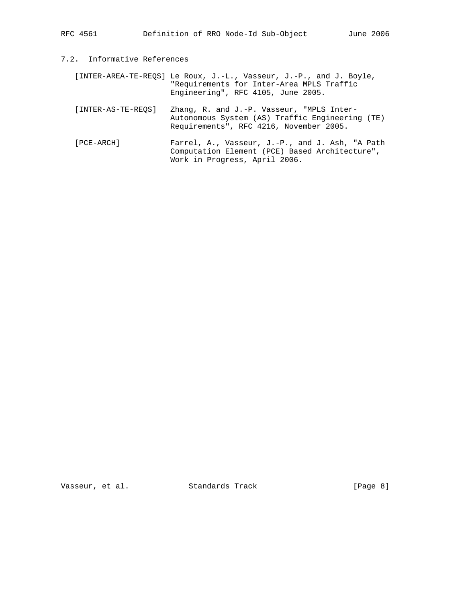## 7.2. Informative References

 [INTER-AREA-TE-REQS] Le Roux, J.-L., Vasseur, J.-P., and J. Boyle, "Requirements for Inter-Area MPLS Traffic Engineering", RFC 4105, June 2005.

- [INTER-AS-TE-REQS] Zhang, R. and J.-P. Vasseur, "MPLS Inter- Autonomous System (AS) Traffic Engineering (TE) Requirements", RFC 4216, November 2005.
- [PCE-ARCH] Farrel, A., Vasseur, J.-P., and J. Ash, "A Path Computation Element (PCE) Based Architecture", Work in Progress, April 2006.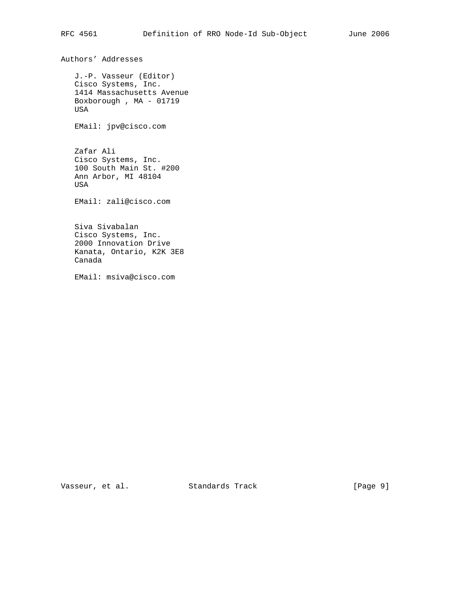J.-P. Vasseur (Editor) Cisco Systems, Inc. 1414 Massachusetts Avenue Boxborough , MA - 01719 USA EMail: jpv@cisco.com Zafar Ali Cisco Systems, Inc. 100 South Main St. #200 Ann Arbor, MI 48104 USA EMail: zali@cisco.com Siva Sivabalan Cisco Systems, Inc. 2000 Innovation Drive Kanata, Ontario, K2K 3E8 Canada EMail: msiva@cisco.com

Vasseur, et al. Standards Track [Page 9]

Authors' Addresses